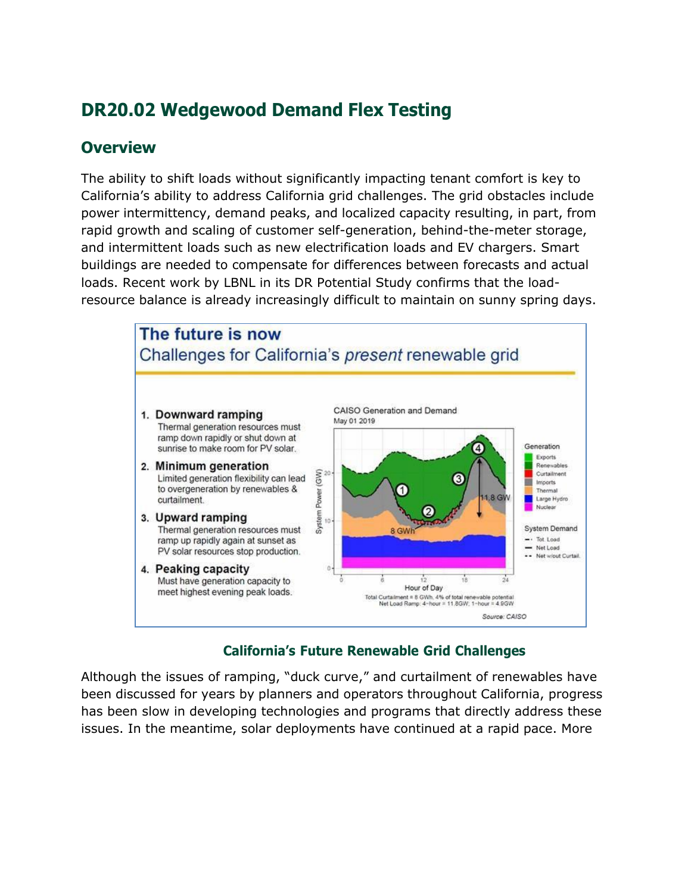# **DR20.02 Wedgewood Demand Flex Testing**

### **Overview**

The ability to shift loads without significantly impacting tenant comfort is key to California's ability to address California grid challenges. The grid obstacles include power intermittency, demand peaks, and localized capacity resulting, in part, from rapid growth and scaling of customer self-generation, behind-the-meter storage, and intermittent loads such as new electrification loads and EV chargers. Smart buildings are needed to compensate for differences between forecasts and actual loads. Recent work by LBNL in its DR Potential Study confirms that the loadresource balance is already increasingly difficult to maintain on sunny spring days.



#### **California's Future Renewable Grid Challenges**

Although the issues of ramping, "duck curve," and curtailment of renewables have been discussed for years by planners and operators throughout California, progress has been slow in developing technologies and programs that directly address these issues. In the meantime, solar deployments have continued at a rapid pace. More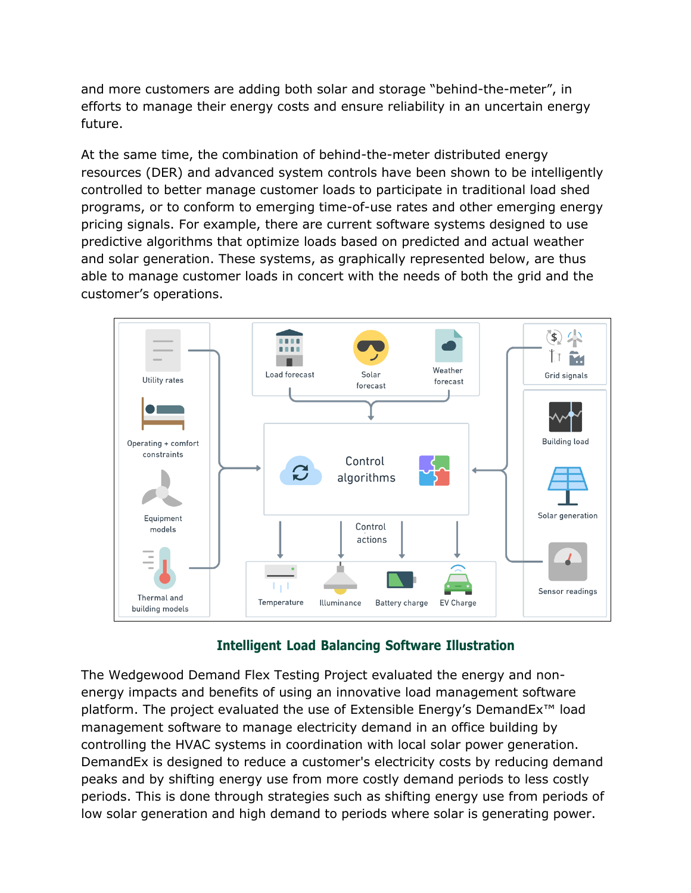and more customers are adding both solar and storage "behind-the-meter", in efforts to manage their energy costs and ensure reliability in an uncertain energy future.

At the same time, the combination of behind-the-meter distributed energy resources (DER) and advanced system controls have been shown to be intelligently controlled to better manage customer loads to participate in traditional load shed programs, or to conform to emerging time-of-use rates and other emerging energy pricing signals. For example, there are current software systems designed to use predictive algorithms that optimize loads based on predicted and actual weather and solar generation. These systems, as graphically represented below, are thus able to manage customer loads in concert with the needs of both the grid and the customer's operations.



#### **Intelligent Load Balancing Software Illustration**

The Wedgewood Demand Flex Testing Project evaluated the energy and nonenergy impacts and benefits of using an innovative load management software platform. The project evaluated the use of Extensible Energy's DemandEx™ load management software to manage electricity demand in an office building by controlling the HVAC systems in coordination with local solar power generation. DemandEx is designed to reduce a customer's electricity costs by reducing demand peaks and by shifting energy use from more costly demand periods to less costly periods. This is done through strategies such as shifting energy use from periods of low solar generation and high demand to periods where solar is generating power.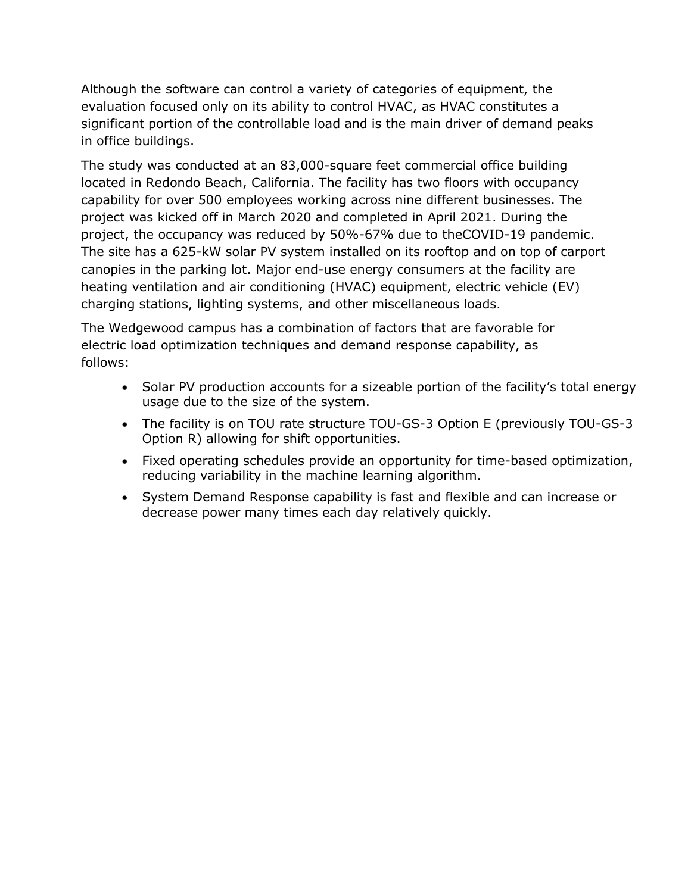Although the software can control a variety of categories of equipment, the evaluation focused only on its ability to control HVAC, as HVAC constitutes a significant portion of the controllable load and is the main driver of demand peaks in office buildings.

The study was conducted at an 83,000-square feet commercial office building located in Redondo Beach, California. The facility has two floors with occupancy capability for over 500 employees working across nine different businesses. The project was kicked off in March 2020 and completed in April 2021. During the project, the occupancy was reduced by 50%-67% due to theCOVID-19 pandemic. The site has a 625-kW solar PV system installed on its rooftop and on top of carport canopies in the parking lot. Major end-use energy consumers at the facility are heating ventilation and air conditioning (HVAC) equipment, electric vehicle (EV) charging stations, lighting systems, and other miscellaneous loads.

The Wedgewood campus has a combination of factors that are favorable for electric load optimization techniques and demand response capability, as follows:

- Solar PV production accounts for a sizeable portion of the facility's total energy usage due to the size of the system.
- The facility is on TOU rate structure TOU-GS-3 Option E (previously TOU-GS-3 Option R) allowing for shift opportunities.
- Fixed operating schedules provide an opportunity for time-based optimization, reducing variability in the machine learning algorithm.
- System Demand Response capability is fast and flexible and can increase or decrease power many times each day relatively quickly.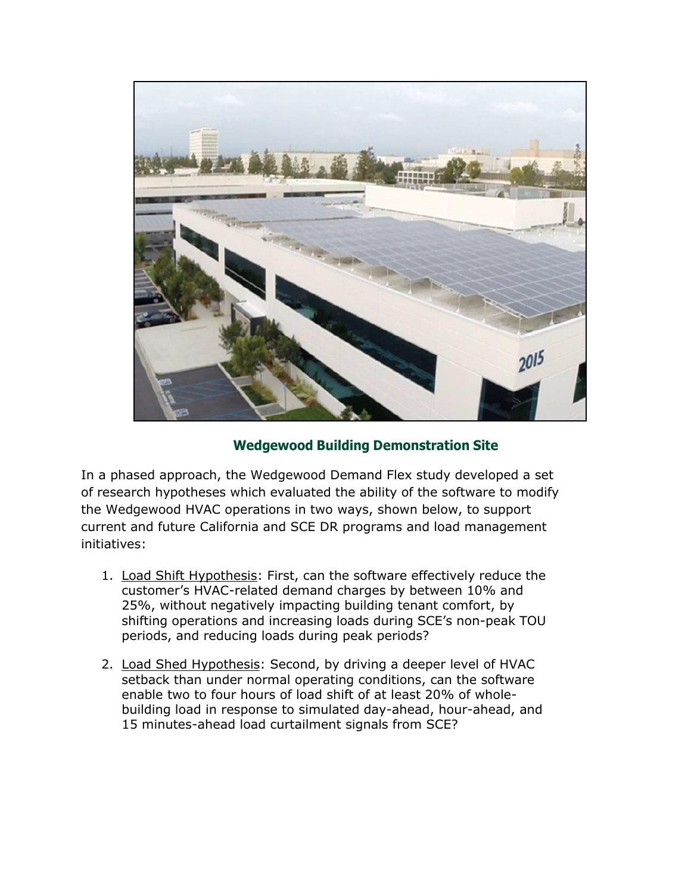

#### **Wedgewood Building Demonstration Site**

In a phased approach, the Wedgewood Demand Flex study developed a set of research hypotheses which evaluated the ability of the software to modify the Wedgewood HVAC operations in two ways, shown below, to support current and future California and SCE DR programs and load management initiatives:

- 1. Load Shift Hypothesis: First, can the software effectively reduce the customer's HVAC-related demand charges by between 10% and 25%, without negatively impacting building tenant comfort, by shifting operations and increasing loads during SCE's non-peak TOU periods, and reducing loads during peak periods?
- 2. Load Shed Hypothesis: Second, by driving a deeper level of HVAC setback than under normal operating conditions, can the software enable two to four hours of load shift of at least 20% of wholebuilding load in response to simulated day-ahead, hour-ahead, and 15 minutes-ahead load curtailment signals from SCE?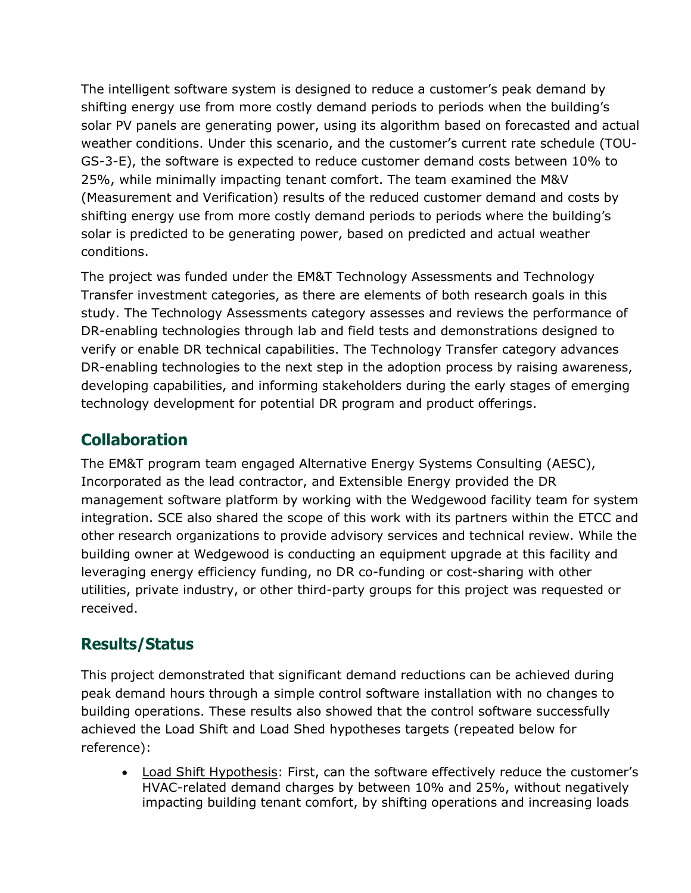The intelligent software system is designed to reduce a customer's peak demand by shifting energy use from more costly demand periods to periods when the building's solar PV panels are generating power, using its algorithm based on forecasted and actual weather conditions. Under this scenario, and the customer's current rate schedule (TOU-GS-3-E), the software is expected to reduce customer demand costs between 10% to 25%, while minimally impacting tenant comfort. The team examined the M&V (Measurement and Verification) results of the reduced customer demand and costs by shifting energy use from more costly demand periods to periods where the building's solar is predicted to be generating power, based on predicted and actual weather conditions.

The project was funded under the EM&T Technology Assessments and Technology Transfer investment categories, as there are elements of both research goals in this study. The Technology Assessments category assesses and reviews the performance of DR-enabling technologies through lab and field tests and demonstrations designed to verify or enable DR technical capabilities. The Technology Transfer category advances DR-enabling technologies to the next step in the adoption process by raising awareness, developing capabilities, and informing stakeholders during the early stages of emerging technology development for potential DR program and product offerings.

# **Collaboration**

The EM&T program team engaged Alternative Energy Systems Consulting (AESC), Incorporated as the lead contractor, and Extensible Energy provided the DR management software platform by working with the Wedgewood facility team for system integration. SCE also shared the scope of this work with its partners within the ETCC and other research organizations to provide advisory services and technical review. While the building owner at Wedgewood is conducting an equipment upgrade at this facility and leveraging energy efficiency funding, no DR co-funding or cost-sharing with other utilities, private industry, or other third-party groups for this project was requested or received.

## **Results/Status**

This project demonstrated that significant demand reductions can be achieved during peak demand hours through a simple control software installation with no changes to building operations. These results also showed that the control software successfully achieved the Load Shift and Load Shed hypotheses targets (repeated below for reference):

• Load Shift Hypothesis: First, can the software effectively reduce the customer's HVAC-related demand charges by between 10% and 25%, without negatively impacting building tenant comfort, by shifting operations and increasing loads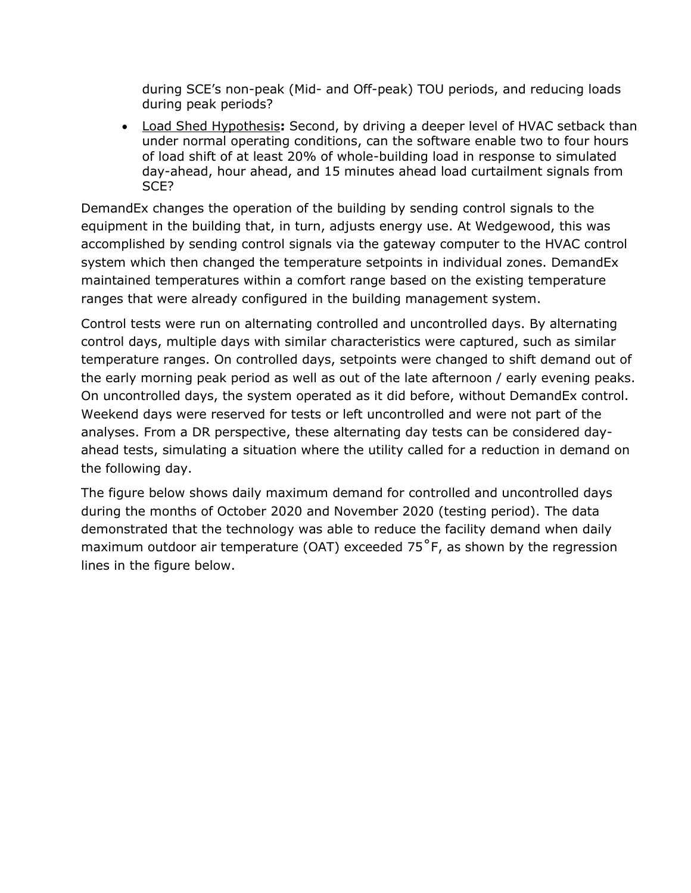during SCE's non-peak (Mid- and Off-peak) TOU periods, and reducing loads during peak periods?

• Load Shed Hypothesis**:** Second, by driving a deeper level of HVAC setback than under normal operating conditions, can the software enable two to four hours of load shift of at least 20% of whole-building load in response to simulated day-ahead, hour ahead, and 15 minutes ahead load curtailment signals from SCE?

DemandEx changes the operation of the building by sending control signals to the equipment in the building that, in turn, adjusts energy use. At Wedgewood, this was accomplished by sending control signals via the gateway computer to the HVAC control system which then changed the temperature setpoints in individual zones. DemandEx maintained temperatures within a comfort range based on the existing temperature ranges that were already configured in the building management system.

Control tests were run on alternating controlled and uncontrolled days. By alternating control days, multiple days with similar characteristics were captured, such as similar temperature ranges. On controlled days, setpoints were changed to shift demand out of the early morning peak period as well as out of the late afternoon / early evening peaks. On uncontrolled days, the system operated as it did before, without DemandEx control. Weekend days were reserved for tests or left uncontrolled and were not part of the analyses. From a DR perspective, these alternating day tests can be considered dayahead tests, simulating a situation where the utility called for a reduction in demand on the following day.

The figure below shows daily maximum demand for controlled and uncontrolled days during the months of October 2020 and November 2020 (testing period). The data demonstrated that the technology was able to reduce the facility demand when daily maximum outdoor air temperature (OAT) exceeded 75<sup>°</sup>F, as shown by the regression lines in the figure below.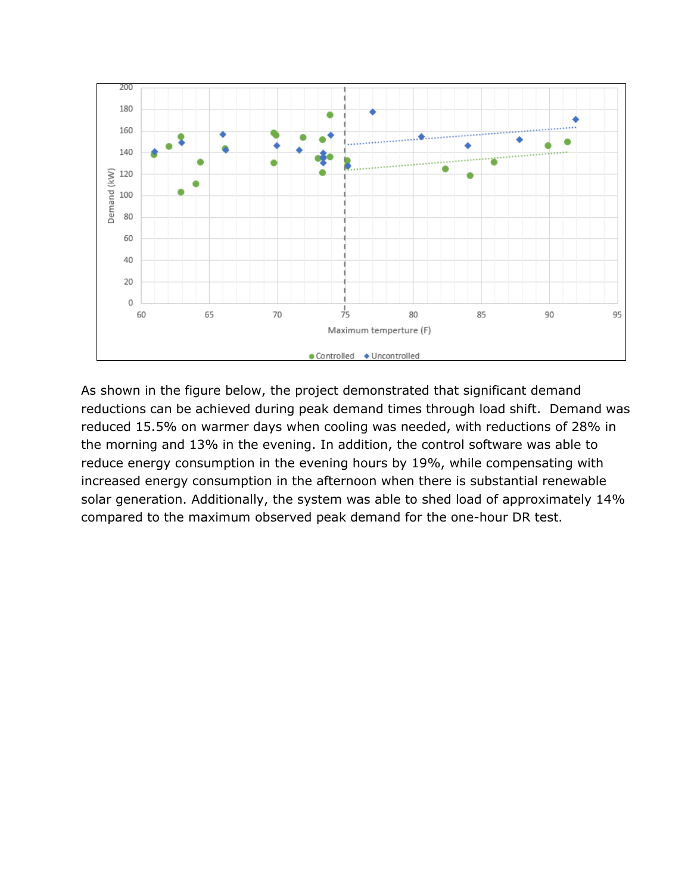

As shown in the figure below, the project demonstrated that significant demand reductions can be achieved during peak demand times through load shift. Demand was reduced 15.5% on warmer days when cooling was needed, with reductions of 28% in the morning and 13% in the evening. In addition, the control software was able to reduce energy consumption in the evening hours by 19%, while compensating with increased energy consumption in the afternoon when there is substantial renewable solar generation. Additionally, the system was able to shed load of approximately 14% compared to the maximum observed peak demand for the one-hour DR test.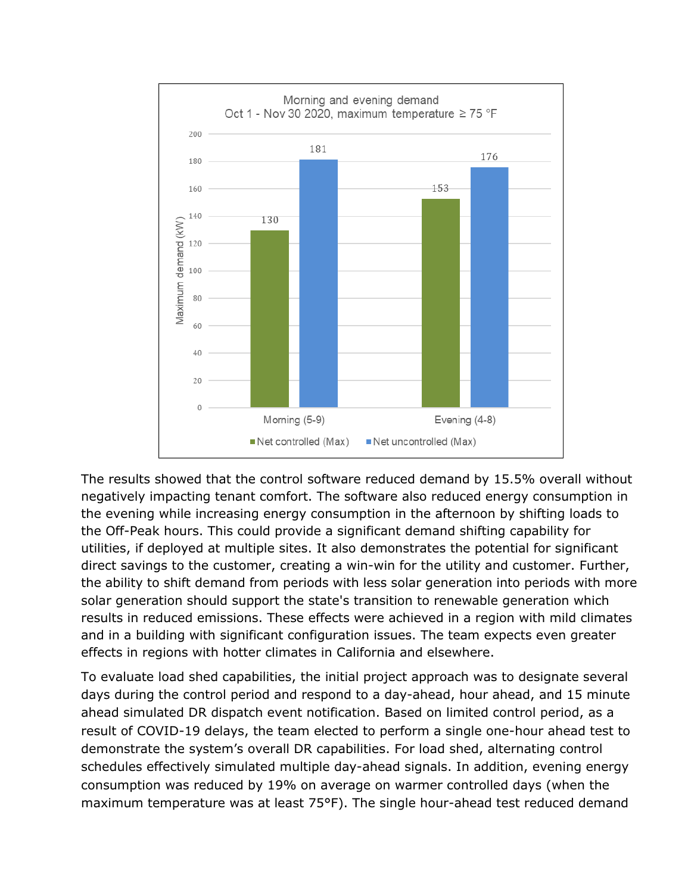

The results showed that the control software reduced demand by 15.5% overall without negatively impacting tenant comfort. The software also reduced energy consumption in the evening while increasing energy consumption in the afternoon by shifting loads to the Off-Peak hours. This could provide a significant demand shifting capability for utilities, if deployed at multiple sites. It also demonstrates the potential for significant direct savings to the customer, creating a win-win for the utility and customer. Further, the ability to shift demand from periods with less solar generation into periods with more solar generation should support the state's transition to renewable generation which results in reduced emissions. These effects were achieved in a region with mild climates and in a building with significant configuration issues. The team expects even greater effects in regions with hotter climates in California and elsewhere.

To evaluate load shed capabilities, the initial project approach was to designate several days during the control period and respond to a day-ahead, hour ahead, and 15 minute ahead simulated DR dispatch event notification. Based on limited control period, as a result of COVID-19 delays, the team elected to perform a single one-hour ahead test to demonstrate the system's overall DR capabilities. For load shed, alternating control schedules effectively simulated multiple day-ahead signals. In addition, evening energy consumption was reduced by 19% on average on warmer controlled days (when the maximum temperature was at least 75°F). The single hour-ahead test reduced demand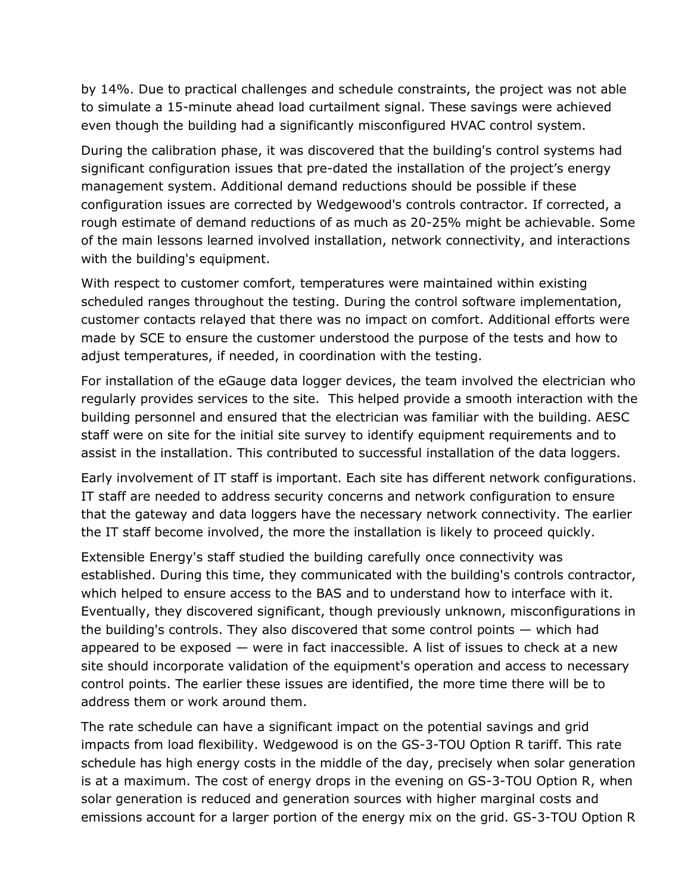by 14%. Due to practical challenges and schedule constraints, the project was not able to simulate a 15-minute ahead load curtailment signal. These savings were achieved even though the building had a significantly misconfigured HVAC control system.

During the calibration phase, it was discovered that the building's control systems had significant configuration issues that pre-dated the installation of the project's energy management system. Additional demand reductions should be possible if these configuration issues are corrected by Wedgewood's controls contractor. If corrected, a rough estimate of demand reductions of as much as 20-25% might be achievable. Some of the main lessons learned involved installation, network connectivity, and interactions with the building's equipment.

With respect to customer comfort, temperatures were maintained within existing scheduled ranges throughout the testing. During the control software implementation, customer contacts relayed that there was no impact on comfort. Additional efforts were made by SCE to ensure the customer understood the purpose of the tests and how to adjust temperatures, if needed, in coordination with the testing.

For installation of the eGauge data logger devices, the team involved the electrician who regularly provides services to the site. This helped provide a smooth interaction with the building personnel and ensured that the electrician was familiar with the building. AESC staff were on site for the initial site survey to identify equipment requirements and to assist in the installation. This contributed to successful installation of the data loggers.

Early involvement of IT staff is important. Each site has different network configurations. IT staff are needed to address security concerns and network configuration to ensure that the gateway and data loggers have the necessary network connectivity. The earlier the IT staff become involved, the more the installation is likely to proceed quickly.

Extensible Energy's staff studied the building carefully once connectivity was established. During this time, they communicated with the building's controls contractor, which helped to ensure access to the BAS and to understand how to interface with it. Eventually, they discovered significant, though previously unknown, misconfigurations in the building's controls. They also discovered that some control points — which had appeared to be exposed  $-$  were in fact inaccessible. A list of issues to check at a new site should incorporate validation of the equipment's operation and access to necessary control points. The earlier these issues are identified, the more time there will be to address them or work around them.

The rate schedule can have a significant impact on the potential savings and grid impacts from load flexibility. Wedgewood is on the GS-3-TOU Option R tariff. This rate schedule has high energy costs in the middle of the day, precisely when solar generation is at a maximum. The cost of energy drops in the evening on GS-3-TOU Option R, when solar generation is reduced and generation sources with higher marginal costs and emissions account for a larger portion of the energy mix on the grid. GS-3-TOU Option R